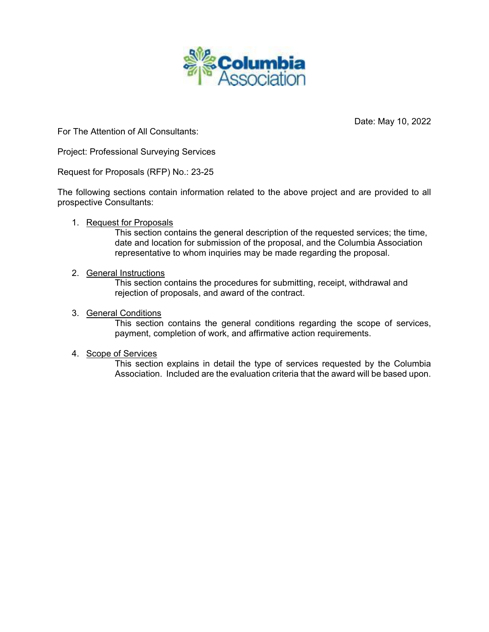

Date: May 10, 2022

For The Attention of All Consultants:

Project: Professional Surveying Services

Request for Proposals (RFP) No.: 23-25

The following sections contain information related to the above project and are provided to all prospective Consultants:

## 1. Request for Proposals

This section contains the general description of the requested services; the time, date and location for submission of the proposal, and the Columbia Association representative to whom inquiries may be made regarding the proposal.

## 2. General Instructions

This section contains the procedures for submitting, receipt, withdrawal and rejection of proposals, and award of the contract.

## 3. General Conditions

This section contains the general conditions regarding the scope of services, payment, completion of work, and affirmative action requirements.

## 4. Scope of Services

This section explains in detail the type of services requested by the Columbia Association. Included are the evaluation criteria that the award will be based upon.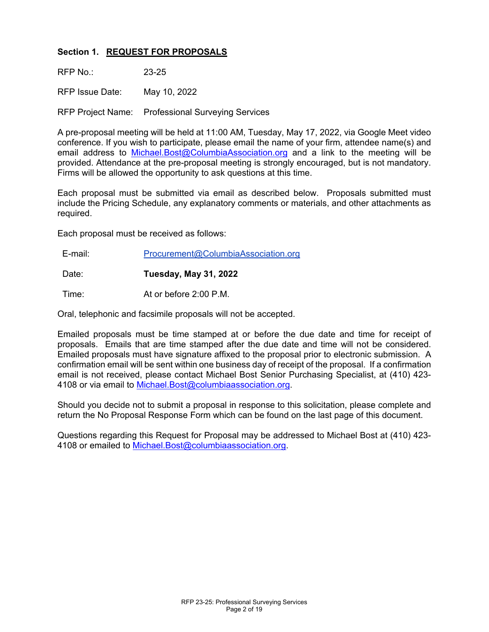# **Section 1. REQUEST FOR PROPOSALS**

RFP  $No: 23-25$ 

RFP Issue Date: May 10, 2022

RFP Project Name: Professional Surveying Services

A pre-proposal meeting will be held at 11:00 AM, Tuesday, May 17, 2022, via Google Meet video conference. If you wish to participate, please email the name of your firm, attendee name(s) and email address to [Michael.Bost@ColumbiaAssociation.org](about:blank) and a link to the meeting will be provided. Attendance at the pre-proposal meeting is strongly encouraged, but is not mandatory. Firms will be allowed the opportunity to ask questions at this time.

Each proposal must be submitted via email as described below. Proposals submitted must include the Pricing Schedule, any explanatory comments or materials, and other attachments as required.

Each proposal must be received as follows:

E-mail: Procurement@ColumbiaAssociation.org

Date: **Tuesday, May 31, 2022**

Time: At or before 2:00 P.M.

Oral, telephonic and facsimile proposals will not be accepted.

Emailed proposals must be time stamped at or before the due date and time for receipt of proposals. Emails that are time stamped after the due date and time will not be considered. Emailed proposals must have signature affixed to the proposal prior to electronic submission. A confirmation email will be sent within one business day of receipt of the proposal. If a confirmation email is not received, please contact Michael Bost Senior Purchasing Specialist, at (410) 423- 4108 or via email to [Michael.Bost@columbiaassociation.org.](http://Michael.Bost@columbiaassociation.org)

Should you decide not to submit a proposal in response to this solicitation, please complete and return the No Proposal Response Form which can be found on the last page of this document.

Questions regarding this Request for Proposal may be addressed to Michael Bost at (410) 423- 4108 or emailed to [Michael.Bost@columbiaassociation.org.](http://Michael.Bost@columbiaassociation.org)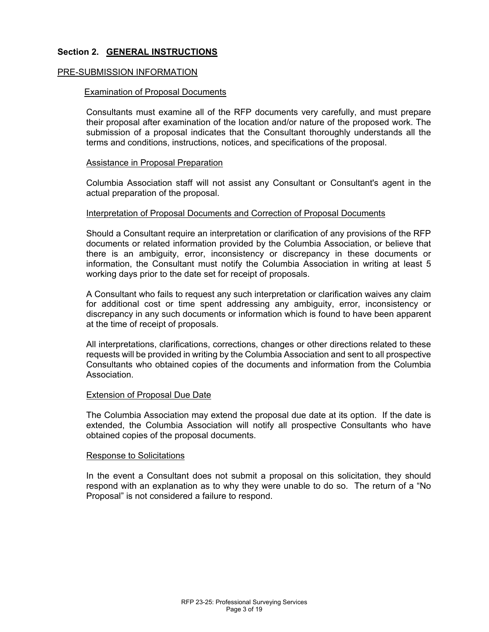## **Section 2. GENERAL INSTRUCTIONS**

#### PRE-SUBMISSION INFORMATION

#### Examination of Proposal Documents

Consultants must examine all of the RFP documents very carefully, and must prepare their proposal after examination of the location and/or nature of the proposed work. The submission of a proposal indicates that the Consultant thoroughly understands all the terms and conditions, instructions, notices, and specifications of the proposal.

#### Assistance in Proposal Preparation

Columbia Association staff will not assist any Consultant or Consultant's agent in the actual preparation of the proposal.

#### Interpretation of Proposal Documents and Correction of Proposal Documents

Should a Consultant require an interpretation or clarification of any provisions of the RFP documents or related information provided by the Columbia Association, or believe that there is an ambiguity, error, inconsistency or discrepancy in these documents or information, the Consultant must notify the Columbia Association in writing at least 5 working days prior to the date set for receipt of proposals.

A Consultant who fails to request any such interpretation or clarification waives any claim for additional cost or time spent addressing any ambiguity, error, inconsistency or discrepancy in any such documents or information which is found to have been apparent at the time of receipt of proposals.

All interpretations, clarifications, corrections, changes or other directions related to these requests will be provided in writing by the Columbia Association and sent to all prospective Consultants who obtained copies of the documents and information from the Columbia Association.

#### Extension of Proposal Due Date

The Columbia Association may extend the proposal due date at its option. If the date is extended, the Columbia Association will notify all prospective Consultants who have obtained copies of the proposal documents.

#### Response to Solicitations

In the event a Consultant does not submit a proposal on this solicitation, they should respond with an explanation as to why they were unable to do so. The return of a "No Proposal" is not considered a failure to respond.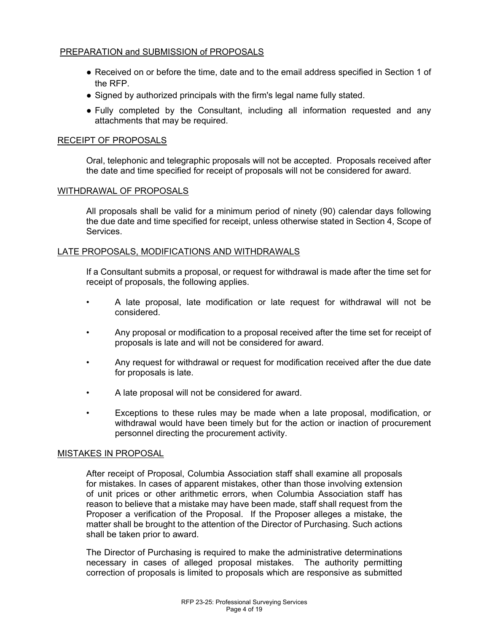## PREPARATION and SUBMISSION of PROPOSALS

- Received on or before the time, date and to the email address specified in Section 1 of the RFP.
- Signed by authorized principals with the firm's legal name fully stated.
- Fully completed by the Consultant, including all information requested and any attachments that may be required.

## RECEIPT OF PROPOSALS

Oral, telephonic and telegraphic proposals will not be accepted. Proposals received after the date and time specified for receipt of proposals will not be considered for award.

## WITHDRAWAL OF PROPOSALS

All proposals shall be valid for a minimum period of ninety (90) calendar days following the due date and time specified for receipt, unless otherwise stated in Section 4, Scope of Services.

## LATE PROPOSALS, MODIFICATIONS AND WITHDRAWALS

If a Consultant submits a proposal, or request for withdrawal is made after the time set for receipt of proposals, the following applies.

- A late proposal, late modification or late request for withdrawal will not be considered.
- Any proposal or modification to a proposal received after the time set for receipt of proposals is late and will not be considered for award.
- Any request for withdrawal or request for modification received after the due date for proposals is late.
- A late proposal will not be considered for award.
- Exceptions to these rules may be made when a late proposal, modification, or withdrawal would have been timely but for the action or inaction of procurement personnel directing the procurement activity.

## MISTAKES IN PROPOSAL

After receipt of Proposal, Columbia Association staff shall examine all proposals for mistakes. In cases of apparent mistakes, other than those involving extension of unit prices or other arithmetic errors, when Columbia Association staff has reason to believe that a mistake may have been made, staff shall request from the Proposer a verification of the Proposal. If the Proposer alleges a mistake, the matter shall be brought to the attention of the Director of Purchasing. Such actions shall be taken prior to award.

The Director of Purchasing is required to make the administrative determinations necessary in cases of alleged proposal mistakes. The authority permitting correction of proposals is limited to proposals which are responsive as submitted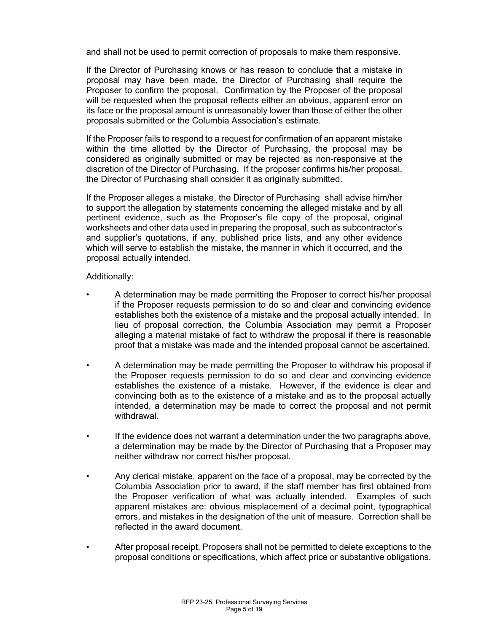and shall not be used to permit correction of proposals to make them responsive.

If the Director of Purchasing knows or has reason to conclude that a mistake in proposal may have been made, the Director of Purchasing shall require the Proposer to confirm the proposal. Confirmation by the Proposer of the proposal will be requested when the proposal reflects either an obvious, apparent error on its face or the proposal amount is unreasonably lower than those of either the other proposals submitted or the Columbia Association's estimate.

If the Proposer fails to respond to a request for confirmation of an apparent mistake within the time allotted by the Director of Purchasing, the proposal may be considered as originally submitted or may be rejected as non-responsive at the discretion of the Director of Purchasing. If the proposer confirms his/her proposal, the Director of Purchasing shall consider it as originally submitted.

If the Proposer alleges a mistake, the Director of Purchasing shall advise him/her to support the allegation by statements concerning the alleged mistake and by all pertinent evidence, such as the Proposer's file copy of the proposal, original worksheets and other data used in preparing the proposal, such as subcontractor's and supplier's quotations, if any, published price lists, and any other evidence which will serve to establish the mistake, the manner in which it occurred, and the proposal actually intended.

## Additionally:

- A determination may be made permitting the Proposer to correct his/her proposal if the Proposer requests permission to do so and clear and convincing evidence establishes both the existence of a mistake and the proposal actually intended. In lieu of proposal correction, the Columbia Association may permit a Proposer alleging a material mistake of fact to withdraw the proposal if there is reasonable proof that a mistake was made and the intended proposal cannot be ascertained.
- A determination may be made permitting the Proposer to withdraw his proposal if the Proposer requests permission to do so and clear and convincing evidence establishes the existence of a mistake. However, if the evidence is clear and convincing both as to the existence of a mistake and as to the proposal actually intended, a determination may be made to correct the proposal and not permit withdrawal.
- If the evidence does not warrant a determination under the two paragraphs above, a determination may be made by the Director of Purchasing that a Proposer may neither withdraw nor correct his/her proposal.
- Any clerical mistake, apparent on the face of a proposal, may be corrected by the Columbia Association prior to award, if the staff member has first obtained from the Proposer verification of what was actually intended. Examples of such apparent mistakes are: obvious misplacement of a decimal point, typographical errors, and mistakes in the designation of the unit of measure. Correction shall be reflected in the award document.
- After proposal receipt, Proposers shall not be permitted to delete exceptions to the proposal conditions or specifications, which affect price or substantive obligations.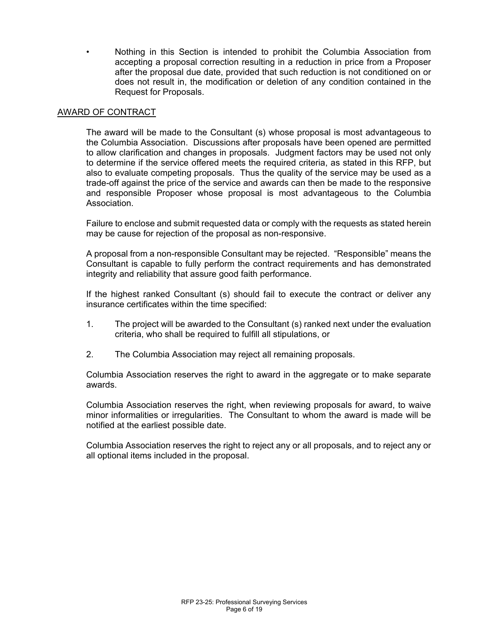• Nothing in this Section is intended to prohibit the Columbia Association from accepting a proposal correction resulting in a reduction in price from a Proposer after the proposal due date, provided that such reduction is not conditioned on or does not result in, the modification or deletion of any condition contained in the Request for Proposals.

## AWARD OF CONTRACT

The award will be made to the Consultant (s) whose proposal is most advantageous to the Columbia Association. Discussions after proposals have been opened are permitted to allow clarification and changes in proposals. Judgment factors may be used not only to determine if the service offered meets the required criteria, as stated in this RFP, but also to evaluate competing proposals. Thus the quality of the service may be used as a trade-off against the price of the service and awards can then be made to the responsive and responsible Proposer whose proposal is most advantageous to the Columbia Association.

Failure to enclose and submit requested data or comply with the requests as stated herein may be cause for rejection of the proposal as non-responsive.

A proposal from a non-responsible Consultant may be rejected. "Responsible" means the Consultant is capable to fully perform the contract requirements and has demonstrated integrity and reliability that assure good faith performance.

If the highest ranked Consultant (s) should fail to execute the contract or deliver any insurance certificates within the time specified:

- 1. The project will be awarded to the Consultant (s) ranked next under the evaluation criteria, who shall be required to fulfill all stipulations, or
- 2. The Columbia Association may reject all remaining proposals.

Columbia Association reserves the right to award in the aggregate or to make separate awards.

Columbia Association reserves the right, when reviewing proposals for award, to waive minor informalities or irregularities. The Consultant to whom the award is made will be notified at the earliest possible date.

Columbia Association reserves the right to reject any or all proposals, and to reject any or all optional items included in the proposal.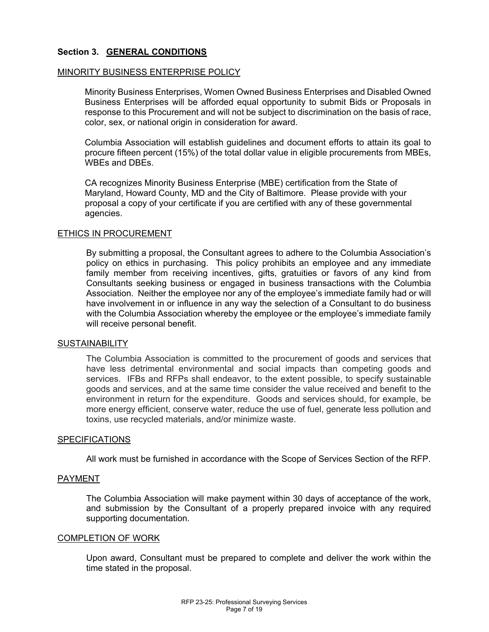## **Section 3. GENERAL CONDITIONS**

#### MINORITY BUSINESS ENTERPRISE POLICY

Minority Business Enterprises, Women Owned Business Enterprises and Disabled Owned Business Enterprises will be afforded equal opportunity to submit Bids or Proposals in response to this Procurement and will not be subject to discrimination on the basis of race, color, sex, or national origin in consideration for award.

Columbia Association will establish guidelines and document efforts to attain its goal to procure fifteen percent (15%) of the total dollar value in eligible procurements from MBEs, WBEs and DBEs.

CA recognizes Minority Business Enterprise (MBE) certification from the State of Maryland, Howard County, MD and the City of Baltimore. Please provide with your proposal a copy of your certificate if you are certified with any of these governmental agencies.

#### ETHICS IN PROCUREMENT

By submitting a proposal, the Consultant agrees to adhere to the Columbia Association's policy on ethics in purchasing. This policy prohibits an employee and any immediate family member from receiving incentives, gifts, gratuities or favors of any kind from Consultants seeking business or engaged in business transactions with the Columbia Association. Neither the employee nor any of the employee's immediate family had or will have involvement in or influence in any way the selection of a Consultant to do business with the Columbia Association whereby the employee or the employee's immediate family will receive personal benefit.

#### **SUSTAINABILITY**

The Columbia Association is committed to the procurement of goods and services that have less detrimental environmental and social impacts than competing goods and services. IFBs and RFPs shall endeavor, to the extent possible, to specify sustainable goods and services, and at the same time consider the value received and benefit to the environment in return for the expenditure. Goods and services should, for example, be more energy efficient, conserve water, reduce the use of fuel, generate less pollution and toxins, use recycled materials, and/or minimize waste.

#### SPECIFICATIONS

All work must be furnished in accordance with the Scope of Services Section of the RFP.

#### PAYMENT

The Columbia Association will make payment within 30 days of acceptance of the work, and submission by the Consultant of a properly prepared invoice with any required supporting documentation.

#### COMPLETION OF WORK

Upon award, Consultant must be prepared to complete and deliver the work within the time stated in the proposal.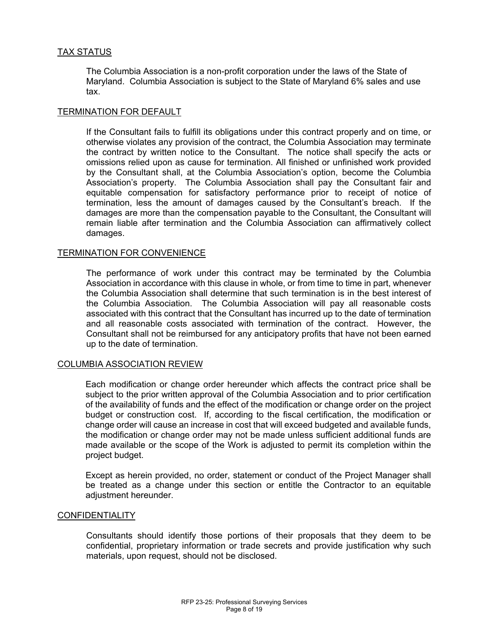## TAX STATUS

The Columbia Association is a non-profit corporation under the laws of the State of Maryland. Columbia Association is subject to the State of Maryland 6% sales and use tax.

## TERMINATION FOR DEFAULT

If the Consultant fails to fulfill its obligations under this contract properly and on time, or otherwise violates any provision of the contract, the Columbia Association may terminate the contract by written notice to the Consultant. The notice shall specify the acts or omissions relied upon as cause for termination. All finished or unfinished work provided by the Consultant shall, at the Columbia Association's option, become the Columbia Association's property. The Columbia Association shall pay the Consultant fair and equitable compensation for satisfactory performance prior to receipt of notice of termination, less the amount of damages caused by the Consultant's breach. If the damages are more than the compensation payable to the Consultant, the Consultant will remain liable after termination and the Columbia Association can affirmatively collect damages.

## TERMINATION FOR CONVENIENCE

The performance of work under this contract may be terminated by the Columbia Association in accordance with this clause in whole, or from time to time in part, whenever the Columbia Association shall determine that such termination is in the best interest of the Columbia Association. The Columbia Association will pay all reasonable costs associated with this contract that the Consultant has incurred up to the date of termination and all reasonable costs associated with termination of the contract. However, the Consultant shall not be reimbursed for any anticipatory profits that have not been earned up to the date of termination.

#### COLUMBIA ASSOCIATION REVIEW

Each modification or change order hereunder which affects the contract price shall be subject to the prior written approval of the Columbia Association and to prior certification of the availability of funds and the effect of the modification or change order on the project budget or construction cost. If, according to the fiscal certification, the modification or change order will cause an increase in cost that will exceed budgeted and available funds, the modification or change order may not be made unless sufficient additional funds are made available or the scope of the Work is adjusted to permit its completion within the project budget.

Except as herein provided, no order, statement or conduct of the Project Manager shall be treated as a change under this section or entitle the Contractor to an equitable adjustment hereunder.

#### **CONFIDENTIALITY**

Consultants should identify those portions of their proposals that they deem to be confidential, proprietary information or trade secrets and provide justification why such materials, upon request, should not be disclosed.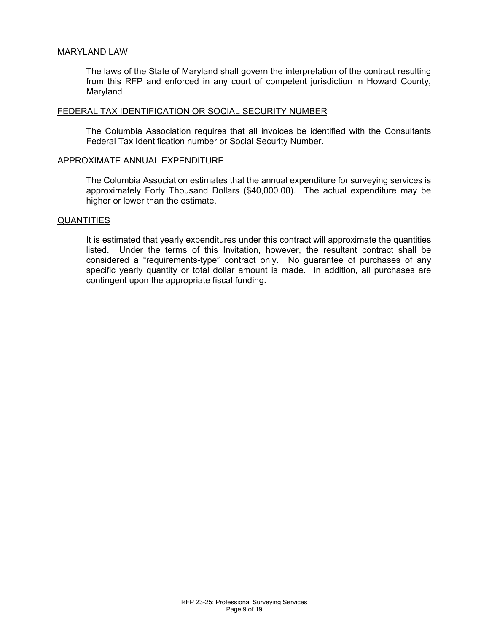#### MARYLAND LAW

The laws of the State of Maryland shall govern the interpretation of the contract resulting from this RFP and enforced in any court of competent jurisdiction in Howard County, Maryland

#### FEDERAL TAX IDENTIFICATION OR SOCIAL SECURITY NUMBER

The Columbia Association requires that all invoices be identified with the Consultants Federal Tax Identification number or Social Security Number.

#### APPROXIMATE ANNUAL EXPENDITURE

The Columbia Association estimates that the annual expenditure for surveying services is approximately Forty Thousand Dollars (\$40,000.00). The actual expenditure may be higher or lower than the estimate.

#### **QUANTITIES**

It is estimated that yearly expenditures under this contract will approximate the quantities listed. Under the terms of this Invitation, however, the resultant contract shall be considered a "requirements-type" contract only. No guarantee of purchases of any specific yearly quantity or total dollar amount is made. In addition, all purchases are contingent upon the appropriate fiscal funding.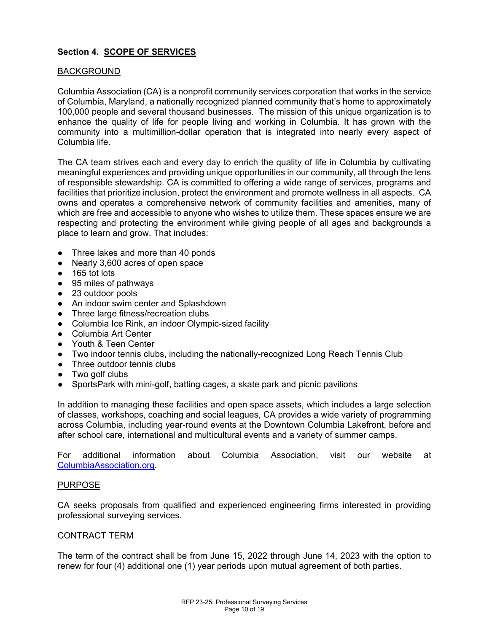# **Section 4. SCOPE OF SERVICES**

## BACKGROUND

Columbia Association (CA) is a nonprofit community services corporation that works in the service of Columbia, Maryland, a nationally recognized planned community that's home to approximately 100,000 people and several thousand businesses. The mission of this unique organization is to enhance the quality of life for people living and working in Columbia. It has grown with the community into a multimillion-dollar operation that is integrated into nearly every aspect of Columbia life.

The CA team strives each and every day to enrich the quality of life in Columbia by cultivating meaningful experiences and providing unique opportunities in our community, all through the lens of responsible stewardship. CA is committed to offering a wide range of services, programs and facilities that prioritize inclusion, protect the environment and promote wellness in all aspects. CA owns and operates a comprehensive network of community facilities and amenities, many of which are free and accessible to anyone who wishes to utilize them. These spaces ensure we are respecting and protecting the environment while giving people of all ages and backgrounds a place to learn and grow. That includes:

- Three lakes and more than 40 ponds
- Nearly 3,600 acres of open space
- 165 tot lots
- 95 miles of pathways
- 23 outdoor pools
- An indoor swim center and Splashdown
- Three large fitness/recreation clubs
- Columbia Ice Rink, an indoor Olympic-sized facility
- Columbia Art Center
- Youth & Teen Center
- Two indoor tennis clubs, including the nationally-recognized Long Reach Tennis Club
- Three outdoor tennis clubs
- Two golf clubs
- SportsPark with mini-golf, batting cages, a skate park and picnic pavilions

In addition to managing these facilities and open space assets, which includes a large selection of classes, workshops, coaching and social leagues, CA provides a wide variety of programming across Columbia, including year-round events at the Downtown Columbia Lakefront, before and after school care, international and multicultural events and a variety of summer camps.

For additional information about Columbia Association, visit our website a[t](http://www.columbiaassociation.org/) [ColumbiaAssociation.org.](http://www.columbiaassociation.org/)

## PURPOSE

CA seeks proposals from qualified and experienced engineering firms interested in providing professional surveying services.

## CONTRACT TERM

The term of the contract shall be from June 15, 2022 through June 14, 2023 with the option to renew for four (4) additional one (1) year periods upon mutual agreement of both parties.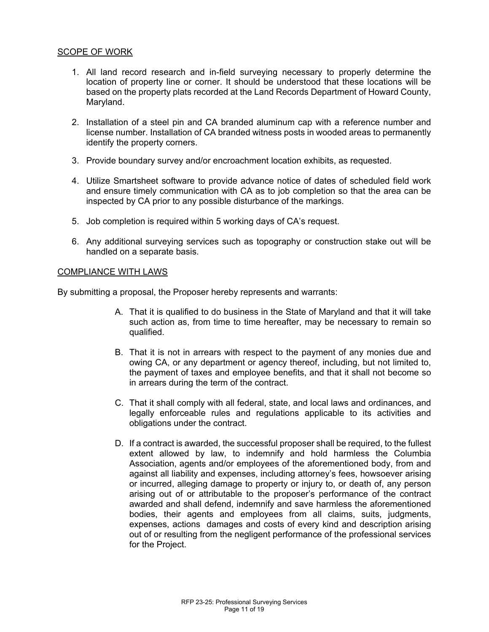## SCOPE OF WORK

- 1. All land record research and in-field surveying necessary to properly determine the location of property line or corner. It should be understood that these locations will be based on the property plats recorded at the Land Records Department of Howard County, Maryland.
- 2. Installation of a steel pin and CA branded aluminum cap with a reference number and license number. Installation of CA branded witness posts in wooded areas to permanently identify the property corners.
- 3. Provide boundary survey and/or encroachment location exhibits, as requested.
- 4. Utilize Smartsheet software to provide advance notice of dates of scheduled field work and ensure timely communication with CA as to job completion so that the area can be inspected by CA prior to any possible disturbance of the markings.
- 5. Job completion is required within 5 working days of CA's request.
- 6. Any additional surveying services such as topography or construction stake out will be handled on a separate basis.

## COMPLIANCE WITH LAWS

By submitting a proposal, the Proposer hereby represents and warrants:

- A. That it is qualified to do business in the State of Maryland and that it will take such action as, from time to time hereafter, may be necessary to remain so qualified.
- B. That it is not in arrears with respect to the payment of any monies due and owing CA, or any department or agency thereof, including, but not limited to, the payment of taxes and employee benefits, and that it shall not become so in arrears during the term of the contract.
- C. That it shall comply with all federal, state, and local laws and ordinances, and legally enforceable rules and regulations applicable to its activities and obligations under the contract.
- D. If a contract is awarded, the successful proposer shall be required, to the fullest extent allowed by law, to indemnify and hold harmless the Columbia Association, agents and/or employees of the aforementioned body, from and against all liability and expenses, including attorney's fees, howsoever arising or incurred, alleging damage to property or injury to, or death of, any person arising out of or attributable to the proposer's performance of the contract awarded and shall defend, indemnify and save harmless the aforementioned bodies, their agents and employees from all claims, suits, judgments, expenses, actions damages and costs of every kind and description arising out of or resulting from the negligent performance of the professional services for the Project.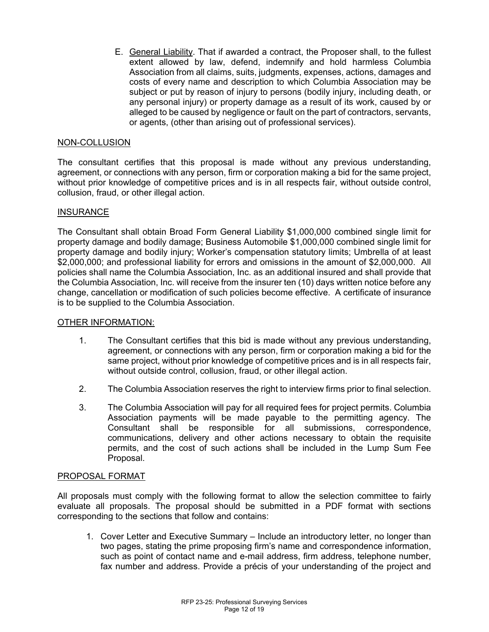E. General Liability. That if awarded a contract, the Proposer shall, to the fullest extent allowed by law, defend, indemnify and hold harmless Columbia Association from all claims, suits, judgments, expenses, actions, damages and costs of every name and description to which Columbia Association may be subject or put by reason of injury to persons (bodily injury, including death, or any personal injury) or property damage as a result of its work, caused by or alleged to be caused by negligence or fault on the part of contractors, servants, or agents, (other than arising out of professional services).

# NON-COLLUSION

The consultant certifies that this proposal is made without any previous understanding, agreement, or connections with any person, firm or corporation making a bid for the same project, without prior knowledge of competitive prices and is in all respects fair, without outside control, collusion, fraud, or other illegal action.

## **INSURANCE**

The Consultant shall obtain Broad Form General Liability \$1,000,000 combined single limit for property damage and bodily damage; Business Automobile \$1,000,000 combined single limit for property damage and bodily injury; Worker's compensation statutory limits; Umbrella of at least \$2,000,000; and professional liability for errors and omissions in the amount of \$2,000,000. All policies shall name the Columbia Association, Inc. as an additional insured and shall provide that the Columbia Association, Inc. will receive from the insurer ten (10) days written notice before any change, cancellation or modification of such policies become effective. A certificate of insurance is to be supplied to the Columbia Association.

## OTHER INFORMATION:

- 1. The Consultant certifies that this bid is made without any previous understanding, agreement, or connections with any person, firm or corporation making a bid for the same project, without prior knowledge of competitive prices and is in all respects fair, without outside control, collusion, fraud, or other illegal action.
- 2. The Columbia Association reserves the right to interview firms prior to final selection.
- 3. The Columbia Association will pay for all required fees for project permits. Columbia Association payments will be made payable to the permitting agency. The Consultant shall be responsible for all submissions, correspondence, communications, delivery and other actions necessary to obtain the requisite permits, and the cost of such actions shall be included in the Lump Sum Fee Proposal.

## PROPOSAL FORMAT

All proposals must comply with the following format to allow the selection committee to fairly evaluate all proposals. The proposal should be submitted in a PDF format with sections corresponding to the sections that follow and contains:

1. Cover Letter and Executive Summary – Include an introductory letter, no longer than two pages, stating the prime proposing firm's name and correspondence information, such as point of contact name and e-mail address, firm address, telephone number, fax number and address. Provide a précis of your understanding of the project and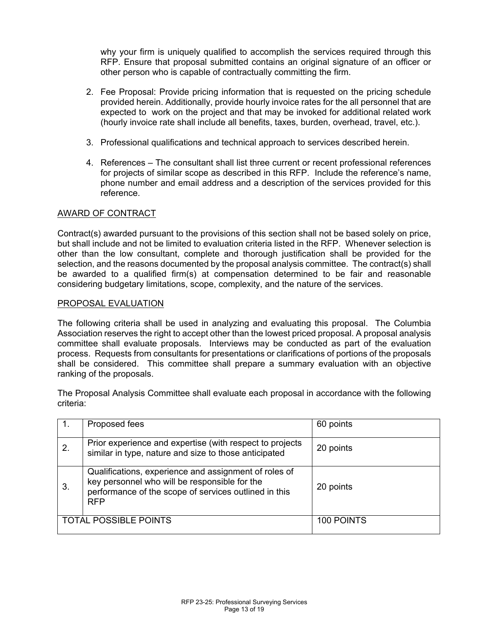why your firm is uniquely qualified to accomplish the services required through this RFP. Ensure that proposal submitted contains an original signature of an officer or other person who is capable of contractually committing the firm.

- 2. Fee Proposal: Provide pricing information that is requested on the pricing schedule provided herein. Additionally, provide hourly invoice rates for the all personnel that are expected to work on the project and that may be invoked for additional related work (hourly invoice rate shall include all benefits, taxes, burden, overhead, travel, etc.).
- 3. Professional qualifications and technical approach to services described herein.
- 4. References The consultant shall list three current or recent professional references for projects of similar scope as described in this RFP. Include the reference's name, phone number and email address and a description of the services provided for this reference.

## AWARD OF CONTRACT

Contract(s) awarded pursuant to the provisions of this section shall not be based solely on price, but shall include and not be limited to evaluation criteria listed in the RFP. Whenever selection is other than the low consultant, complete and thorough justification shall be provided for the selection, and the reasons documented by the proposal analysis committee. The contract(s) shall be awarded to a qualified firm(s) at compensation determined to be fair and reasonable considering budgetary limitations, scope, complexity, and the nature of the services.

## PROPOSAL EVALUATION

The following criteria shall be used in analyzing and evaluating this proposal. The Columbia Association reserves the right to accept other than the lowest priced proposal. A proposal analysis committee shall evaluate proposals. Interviews may be conducted as part of the evaluation process. Requests from consultants for presentations or clarifications of portions of the proposals shall be considered. This committee shall prepare a summary evaluation with an objective ranking of the proposals.

The Proposal Analysis Committee shall evaluate each proposal in accordance with the following criteria:

|                              | Proposed fees                                                                                                                                                                 | 60 points  |
|------------------------------|-------------------------------------------------------------------------------------------------------------------------------------------------------------------------------|------------|
| 2.                           | Prior experience and expertise (with respect to projects<br>similar in type, nature and size to those anticipated                                                             | 20 points  |
| 3.                           | Qualifications, experience and assignment of roles of<br>key personnel who will be responsible for the<br>performance of the scope of services outlined in this<br><b>RFP</b> | 20 points  |
| <b>TOTAL POSSIBLE POINTS</b> |                                                                                                                                                                               | 100 POINTS |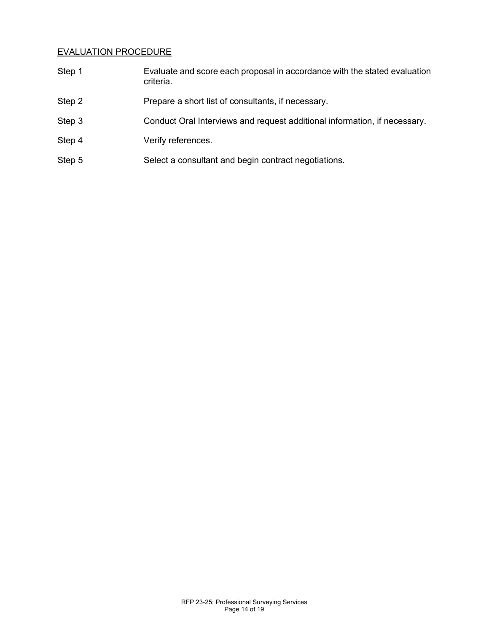# EVALUATION PROCEDURE

| Step 1 | Evaluate and score each proposal in accordance with the stated evaluation<br>criteria. |
|--------|----------------------------------------------------------------------------------------|
| Step 2 | Prepare a short list of consultants, if necessary.                                     |
| Step 3 | Conduct Oral Interviews and request additional information, if necessary.              |
| Step 4 | Verify references.                                                                     |
| Step 5 | Select a consultant and begin contract negotiations.                                   |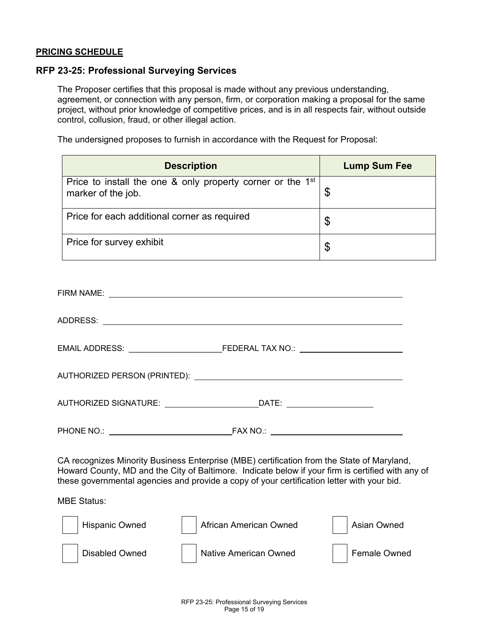## **PRICING SCHEDULE**

## **RFP 23-25: Professional Surveying Services**

The Proposer certifies that this proposal is made without any previous understanding, agreement, or connection with any person, firm, or corporation making a proposal for the same project, without prior knowledge of competitive prices, and is in all respects fair, without outside control, collusion, fraud, or other illegal action.

The undersigned proposes to furnish in accordance with the Request for Proposal:

| <b>Description</b>                                                                           | <b>Lump Sum Fee</b> |
|----------------------------------------------------------------------------------------------|---------------------|
| Price to install the one & only property corner or the 1 <sup>st</sup><br>marker of the job. |                     |
| Price for each additional corner as required                                                 | \$                  |
| Price for survey exhibit                                                                     | \$                  |

| CA recognizes Minority Business Enterprise (MBE) certification from the State of Maryland,<br>Howard County, MD and the City of Baltimore. Indicate below if your firm is certified with any of<br>these governmental agencies and provide a copy of your certification letter with your bid. |
|-----------------------------------------------------------------------------------------------------------------------------------------------------------------------------------------------------------------------------------------------------------------------------------------------|
| <b>MBE Status:</b>                                                                                                                                                                                                                                                                            |
| Hispanic Owned<br>African American Owned<br>Asian Owned                                                                                                                                                                                                                                       |

 $\mathbf{I}$ Disabled Owned | Native American Owned | Female Owned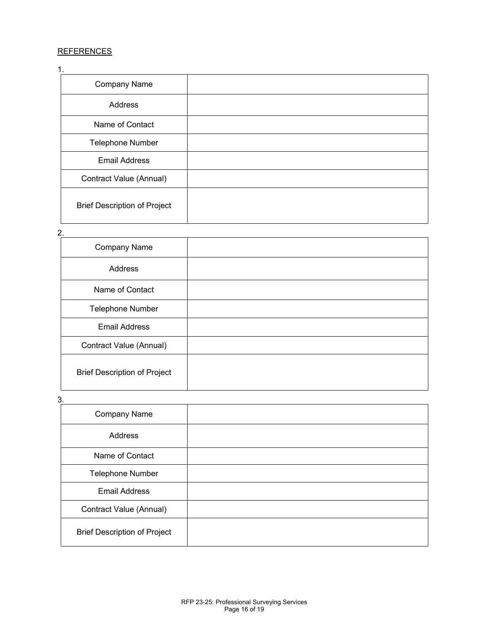# **REFERENCES**

| 1.                                  |  |
|-------------------------------------|--|
| <b>Company Name</b>                 |  |
| Address                             |  |
| Name of Contact                     |  |
| <b>Telephone Number</b>             |  |
| <b>Email Address</b>                |  |
| Contract Value (Annual)             |  |
| <b>Brief Description of Project</b> |  |

#### 2.

| <b>Company Name</b>                 |  |
|-------------------------------------|--|
| Address                             |  |
| Name of Contact                     |  |
| <b>Telephone Number</b>             |  |
| <b>Email Address</b>                |  |
| Contract Value (Annual)             |  |
| <b>Brief Description of Project</b> |  |

3.

| Company Name                        |  |
|-------------------------------------|--|
| Address                             |  |
| Name of Contact                     |  |
| Telephone Number                    |  |
| <b>Email Address</b>                |  |
| Contract Value (Annual)             |  |
| <b>Brief Description of Project</b> |  |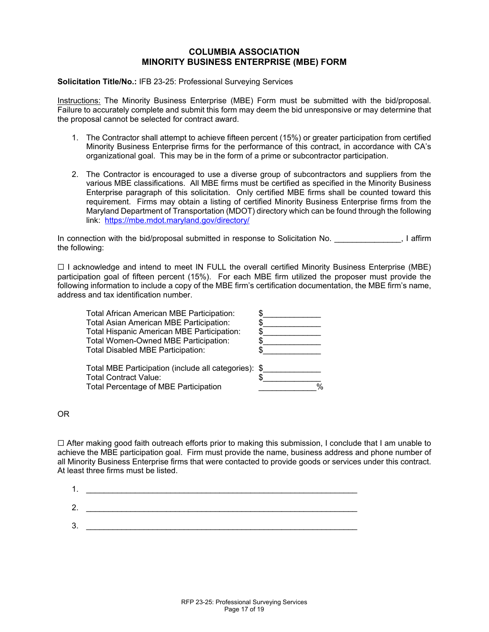## **COLUMBIA ASSOCIATION MINORITY BUSINESS ENTERPRISE (MBE) FORM**

**Solicitation Title/No.:** IFB 23-25: Professional Surveying Services

Instructions: The Minority Business Enterprise (MBE) Form must be submitted with the bid/proposal. Failure to accurately complete and submit this form may deem the bid unresponsive or may determine that the proposal cannot be selected for contract award.

- 1. The Contractor shall attempt to achieve fifteen percent (15%) or greater participation from certified Minority Business Enterprise firms for the performance of this contract, in accordance with CA's organizational goal. This may be in the form of a prime or subcontractor participation.
- 2. The Contractor is encouraged to use a diverse group of subcontractors and suppliers from the various MBE classifications. All MBE firms must be certified as specified in the Minority Business Enterprise paragraph of this solicitation. Only certified MBE firms shall be counted toward this requirement. Firms may obtain a listing of certified Minority Business Enterprise firms from the Maryland Department of Transportation (MDOT) directory which can be found through the following link: <https://mbe.mdot.maryland.gov/directory/>

In connection with the bid/proposal submitted in response to Solicitation No. \_\_\_\_\_\_\_\_\_\_\_\_\_\_, I affirm the following:

 $\Box$  I acknowledge and intend to meet IN FULL the overall certified Minority Business Enterprise (MBE) participation goal of fifteen percent (15%). For each MBE firm utilized the proposer must provide the following information to include a copy of the MBE firm's certification documentation, the MBE firm's name, address and tax identification number.

| <b>Total African American MBE Participation:</b>     |  |
|------------------------------------------------------|--|
| Total Asian American MBE Participation:              |  |
| Total Hispanic American MBE Participation:           |  |
| Total Women-Owned MBE Participation:                 |  |
| Total Disabled MBE Participation:                    |  |
| Total MBE Participation (include all categories): \$ |  |
| <b>Total Contract Value:</b>                         |  |
| Total Percentage of MBE Participation                |  |

OR

☐ After making good faith outreach efforts prior to making this submission, I conclude that I am unable to achieve the MBE participation goal. Firm must provide the name, business address and phone number of all Minority Business Enterprise firms that were contacted to provide goods or services under this contract. At least three firms must be listed.

| л<br>. . |  |
|----------|--|
| 2.       |  |
| 3.       |  |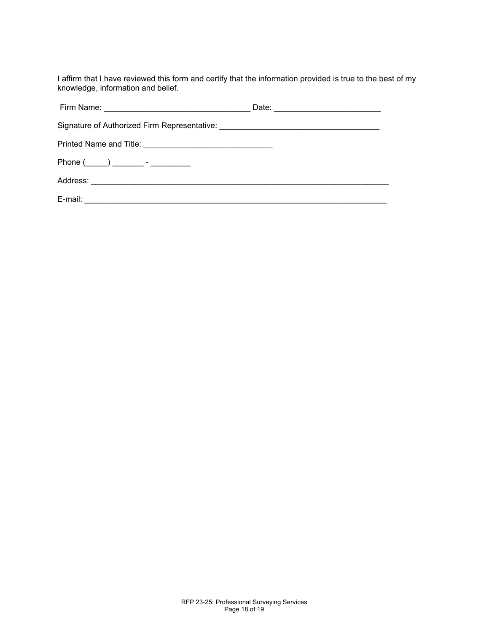I affirm that I have reviewed this form and certify that the information provided is true to the best of my knowledge, information and belief.

| Signature of Authorized Firm Representative: [19] Discovery and the Signature of Authorized Firm Representative: |  |
|------------------------------------------------------------------------------------------------------------------|--|
|                                                                                                                  |  |
| $Phone($ $)$ $ -$                                                                                                |  |
|                                                                                                                  |  |
|                                                                                                                  |  |